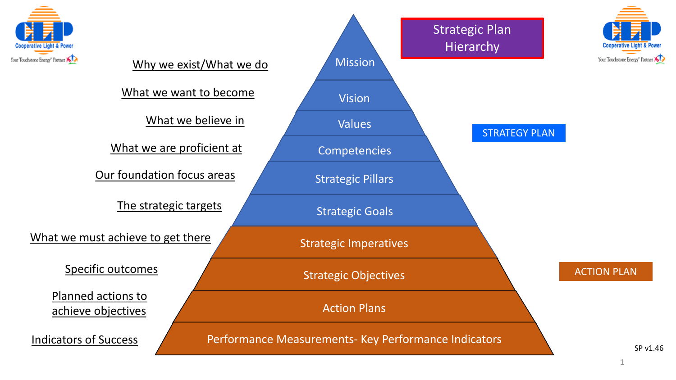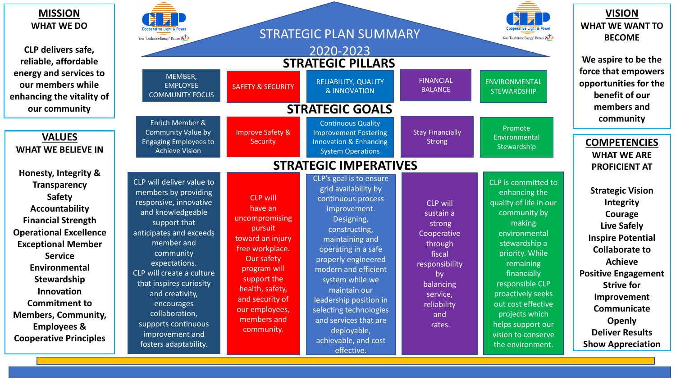